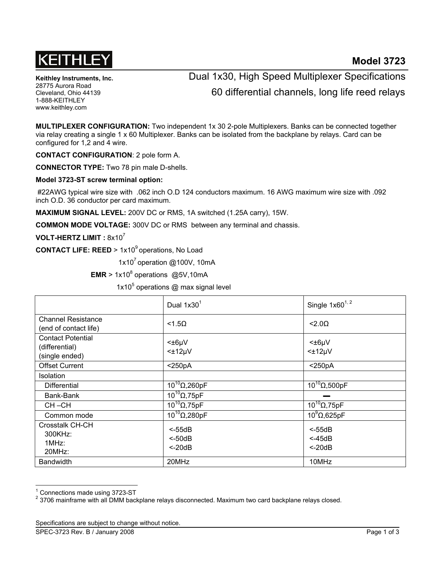

**Keithley Instruments, Inc.**  28775 Aurora Road Cleveland, Ohio 44139 1-888-KEITHLEY www.keithley.com

## Dual 1x30, High Speed Multiplexer Specifications 60 differential channels, long life reed relays

**MULTIPLEXER CONFIGURATION:** Two independent 1x 30 2-pole Multiplexers. Banks can be connected together via relay creating a single 1 x 60 Multiplexer. Banks can be isolated from the backplane by relays. Card can be configured for 1,2 and 4 wire.

**CONTACT CONFIGURATION**: 2 pole form A.

**CONNECTOR TYPE:** Two 78 pin male D-shells.

**Model 3723-ST screw terminal option:** 

 #22AWG typical wire size with .062 inch O.D 124 conductors maximum. 16 AWG maximum wire size with .092 inch O.D. 36 conductor per card maximum.

**MAXIMUM SIGNAL LEVEL:** 200V DC or RMS, 1A switched (1.25A carry), 15W.

**COMMON MODE VOLTAGE:** 300V DC or RMS between any terminal and chassis.

**VOLT-HERTZ LIMIT :** 8x10<sup>7</sup>

**CONTACT LIFE: REED** > 1x10<sup>9</sup> operations, No Load

1x10 $^7$  operation @100V, 10mA

 $EMR > 1x10<sup>8</sup>$  operations  $@5V,10mA$ 

1x10<sup>5</sup> operations @ max signal level

|                                                              | Dual $1x301$                        | Single $1x60^{1,2}$                 |
|--------------------------------------------------------------|-------------------------------------|-------------------------------------|
| <b>Channel Resistance</b><br>(end of contact life)           | $<$ 1.5 $\Omega$                    | $<$ 2.00                            |
| <b>Contact Potential</b><br>(differential)<br>(single ended) | $<\pm 6\mu V$<br>$<\pm 12 \mu V$    | $<\pm 6\mu V$<br>$<\pm 12 \mu V$    |
| <b>Offset Current</b>                                        | $<$ 250pA                           | $<$ 250pA                           |
| Isolation                                                    |                                     |                                     |
| Differential                                                 | $10^{10}$ $\Omega$ , 260pF          | $10^{10}$ $\Omega$ ,500pF           |
| Bank-Bank                                                    | $10^{10}$ $\Omega$ , 75pF           |                                     |
| $CH - CH$                                                    | $10^{10}$ $\Omega$ , 75pF           | $10^{10}$ $\Omega$ , 75pF           |
| Common mode                                                  | $10^{10}$ Q, 280pF                  | $10^9$ $\Omega$ ,625pF              |
| Crosstalk CH-CH<br>300KHz:<br>1MHz:<br>20MHz                 | $<$ -55dB<br>$< -50dB$<br>$<$ -20dB | $< -55dB$<br>$<$ -45dB<br>$< -20dB$ |
| <b>Bandwidth</b>                                             | 20MHz                               | 10MHz                               |

<sup>1</sup> Connections made using 3723-ST

l

 $^{2}$  3706 mainframe with all DMM backplane relays disconnected. Maximum two card backplane relays closed.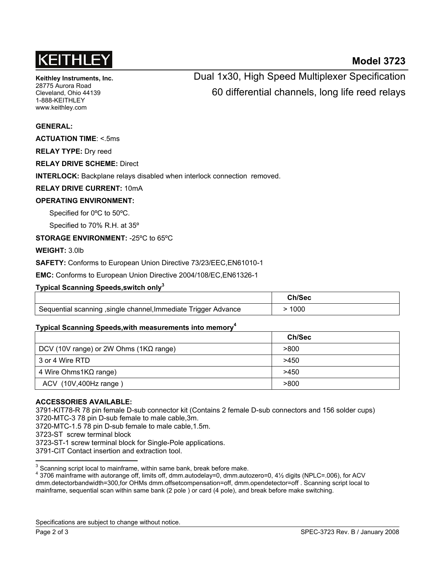# KEITHLE

### **Model 3723**

**Keithley Instruments, Inc.**  28775 Aurora Road Cleveland, Ohio 44139 1-888-KEITHLEY www.keithley.com

## Dual 1x30, High Speed Multiplexer Specification 60 differential channels, long life reed relays

#### **GENERAL:**

**ACTUATION TIME**: <.5ms

**RELAY TYPE:** Dry reed

**RELAY DRIVE SCHEME:** Direct

**INTERLOCK:** Backplane relays disabled when interlock connection removed.

**RELAY DRIVE CURRENT:** 10mA

#### **OPERATING ENVIRONMENT:**

Specified for 0ºC to 50ºC.

Specified to 70% R.H. at 35º

**STORAGE ENVIRONMENT:** -25ºC to 65ºC

**WEIGHT:** 3.0lb

**SAFETY:** Conforms to European Union Directive 73/23/EEC,EN61010-1

**EMC:** Conforms to European Union Directive 2004/108/EC,EN61326-1

#### **Typical Scanning Speeds,switch only3**

|                                                                | <b>Ch/Sec</b> |
|----------------------------------------------------------------|---------------|
| Sequential scanning, single channel, Immediate Trigger Advance | 1000          |

#### **Typical Scanning Speeds,with measurements into memory4**

|                                                | Ch/Sec |
|------------------------------------------------|--------|
| DCV (10V range) or 2W Ohms (1 $K\Omega$ range) | >800   |
| 3 or 4 Wire RTD                                | >450   |
| 4 Wire Ohms1KΩ range)                          | >450   |
| ACV (10V,400Hz range)                          | >800   |

#### **ACCESSORIES AVAILABLE:**

3791-KIT78-R 78 pin female D-sub connector kit (Contains 2 female D-sub connectors and 156 solder cups) 3720-MTC-3 78 pin D-sub female to male cable,3m.

3720-MTC-1.5 78 pin D-sub female to male cable,1.5m.

3723-ST screw terminal block

3723-ST-1 screw terminal block for Single-Pole applications.

3791-CIT Contact insertion and extraction tool.

Specifications are subject to change without notice.

**EXECTS**<br><sup>3</sup> Scanning script local to mainframe, within same bank, break before make.

<sup>4</sup> 3706 mainframe with autorange off, limits off, dmm.autodelay=0, dmm.autozero=0, 4½ digits (NPLC=.006), for ACV dmm.detectorbandwidth=300,for OHMs dmm.offsetcompensation=off, dmm.opendetector=off . Scanning script local to mainframe, sequential scan within same bank (2 pole ) or card (4 pole), and break before make switching.